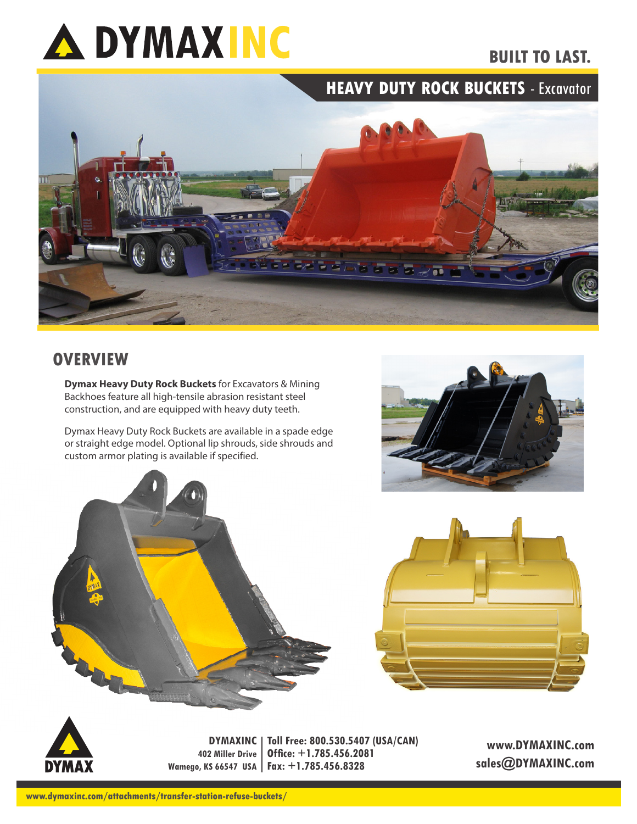## **A DYMAXING**

## **BUILT TO LAST.**





## **OVERVIEW**

**Dymax Heavy Duty Rock Buckets** for Excavators & Mining Backhoes feature all high-tensile abrasion resistant steel construction, and are equipped with heavy duty teeth.

Dymax Heavy Duty Rock Buckets are available in a spade edge or straight edge model. Optional lip shrouds, side shrouds and custom armor plating is available if specified.









**DYMAXINC Toll Free: 800.530.5407 (USA/CAN) 402 Miller Drive Wamego, KS 66547 USA Fax: +1.785.456.8328 Office: +1.785.456.2081**

**www.DYMAXINC.com sales@DYMAXINC.com**